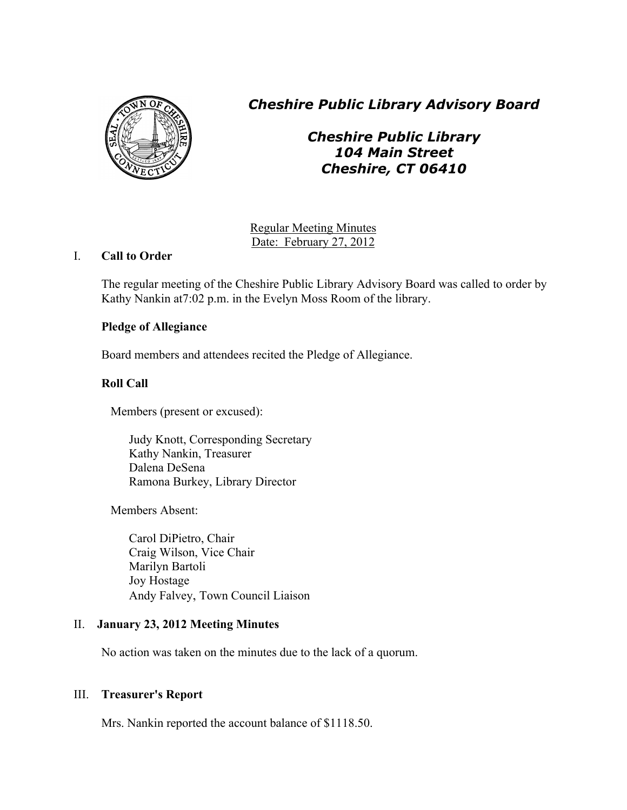

*Cheshire Public Library Advisory Board*

*Cheshire Public Library 104 Main Street Cheshire, CT 06410*

Regular Meeting Minutes Date: February 27, 2012

# I. **Call to Order**

The regular meeting of the Cheshire Public Library Advisory Board was called to order by Kathy Nankin at7:02 p.m. in the Evelyn Moss Room of the library.

# **Pledge of Allegiance**

Board members and attendees recited the Pledge of Allegiance.

# **Roll Call**

Members (present or excused):

Judy Knott, Corresponding Secretary Kathy Nankin, Treasurer Dalena DeSena Ramona Burkey, Library Director

Members Absent:

Carol DiPietro, Chair Craig Wilson, Vice Chair Marilyn Bartoli Joy Hostage Andy Falvey, Town Council Liaison

# II. **January 23, 2012 Meeting Minutes**

No action was taken on the minutes due to the lack of a quorum.

# III. **Treasurer's Report**

Mrs. Nankin reported the account balance of \$1118.50.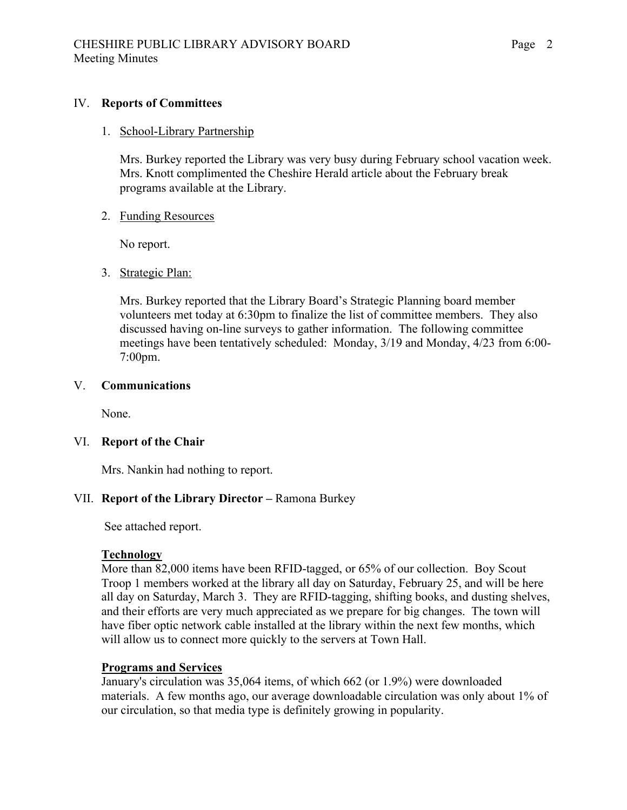### IV. **Reports of Committees**

### 1. School-Library Partnership

Mrs. Burkey reported the Library was very busy during February school vacation week. Mrs. Knott complimented the Cheshire Herald article about the February break programs available at the Library.

### 2. Funding Resources

No report.

### 3. Strategic Plan:

Mrs. Burkey reported that the Library Board's Strategic Planning board member volunteers met today at 6:30pm to finalize the list of committee members. They also discussed having on-line surveys to gather information. The following committee meetings have been tentatively scheduled: Monday, 3/19 and Monday, 4/23 from 6:00- 7:00pm.

### V. **Communications**

None.

### VI. **Report of the Chair**

Mrs. Nankin had nothing to report.

### VII. **Report of the Library Director –** Ramona Burkey

See attached report.

#### **Technology**

More than 82,000 items have been RFID-tagged, or 65% of our collection. Boy Scout Troop 1 members worked at the library all day on Saturday, February 25, and will be here all day on Saturday, March 3. They are RFID-tagging, shifting books, and dusting shelves, and their efforts are very much appreciated as we prepare for big changes. The town will have fiber optic network cable installed at the library within the next few months, which will allow us to connect more quickly to the servers at Town Hall.

#### **Programs and Services**

January's circulation was 35,064 items, of which 662 (or 1.9%) were downloaded materials. A few months ago, our average downloadable circulation was only about 1% of our circulation, so that media type is definitely growing in popularity.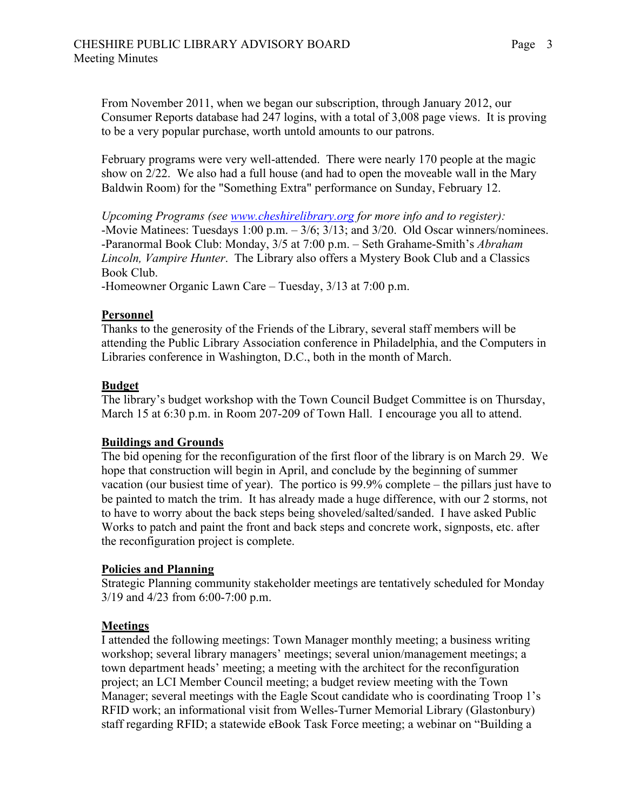From November 2011, when we began our subscription, through January 2012, our Consumer Reports database had 247 logins, with a total of 3,008 page views. It is proving to be a very popular purchase, worth untold amounts to our patrons.

February programs were very well-attended. There were nearly 170 people at the magic show on 2/22. We also had a full house (and had to open the moveable wall in the Mary Baldwin Room) for the "Something Extra" performance on Sunday, February 12.

*Upcoming Programs (see www.cheshirelibrary.org for more info and to register):* -Movie Matinees: Tuesdays 1:00 p.m. – 3/6; 3/13; and 3/20. Old Oscar winners/nominees. -Paranormal Book Club: Monday, 3/5 at 7:00 p.m. – Seth Grahame-Smith's *Abraham Lincoln, Vampire Hunter*. The Library also offers a Mystery Book Club and a Classics Book Club.

-Homeowner Organic Lawn Care – Tuesday, 3/13 at 7:00 p.m.

### **Personnel**

Thanks to the generosity of the Friends of the Library, several staff members will be attending the Public Library Association conference in Philadelphia, and the Computers in Libraries conference in Washington, D.C., both in the month of March.

### **Budget**

The library's budget workshop with the Town Council Budget Committee is on Thursday, March 15 at 6:30 p.m. in Room 207-209 of Town Hall. I encourage you all to attend.

### **Buildings and Grounds**

The bid opening for the reconfiguration of the first floor of the library is on March 29. We hope that construction will begin in April, and conclude by the beginning of summer vacation (our busiest time of year). The portico is 99.9% complete – the pillars just have to be painted to match the trim. It has already made a huge difference, with our 2 storms, not to have to worry about the back steps being shoveled/salted/sanded. I have asked Public Works to patch and paint the front and back steps and concrete work, signposts, etc. after the reconfiguration project is complete.

### **Policies and Planning**

Strategic Planning community stakeholder meetings are tentatively scheduled for Monday 3/19 and 4/23 from 6:00-7:00 p.m.

### **Meetings**

I attended the following meetings: Town Manager monthly meeting; a business writing workshop; several library managers' meetings; several union/management meetings; a town department heads' meeting; a meeting with the architect for the reconfiguration project; an LCI Member Council meeting; a budget review meeting with the Town Manager; several meetings with the Eagle Scout candidate who is coordinating Troop 1's RFID work; an informational visit from Welles-Turner Memorial Library (Glastonbury) staff regarding RFID; a statewide eBook Task Force meeting; a webinar on "Building a